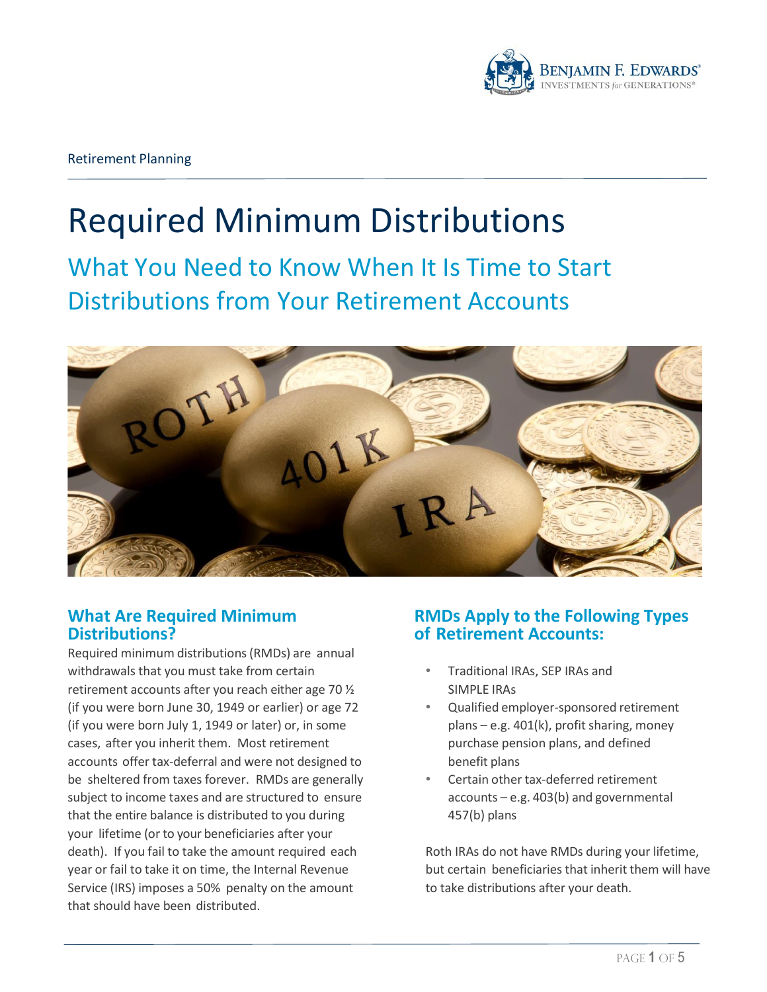

# Required Minimum Distributions

What You Need to Know When It Is Time to Start Distributions from Your Retirement Accounts



# **What Are Required Minimum Distributions?**

Required minimum distributions(RMDs) are annual withdrawals that you must take from certain retirement accounts after you reach either age 70 ½ (if you were born June 30, 1949 or earlier) or age 72 (if you were born July 1, 1949 or later) or, in some cases, after you inherit them. Most retirement accounts offer tax-deferral and were not designed to be sheltered from taxes forever. RMDs are generally subject to income taxes and are structured to ensure that the entire balance is distributed to you during your lifetime (or to your beneficiaries after your death). If you fail to take the amount required each year or fail to take it on time, the Internal Revenue Service (IRS) imposes a 50% penalty on the amount that should have been distributed.

# **RMDs Apply to the Following Types of Retirement Accounts:**

- Traditional IRAs, SEP IRAs and SIMPLE IRAs
- Qualified employer-sponsored retirement plans – e.g. 401(k), profit sharing, money purchase pension plans, and defined benefit plans
- Certain other tax-deferred retirement accounts – e.g. 403(b) and governmental 457(b) plans

Roth IRAs do not have RMDs during your lifetime, but certain beneficiaries that inherit them will have to take distributions after your death.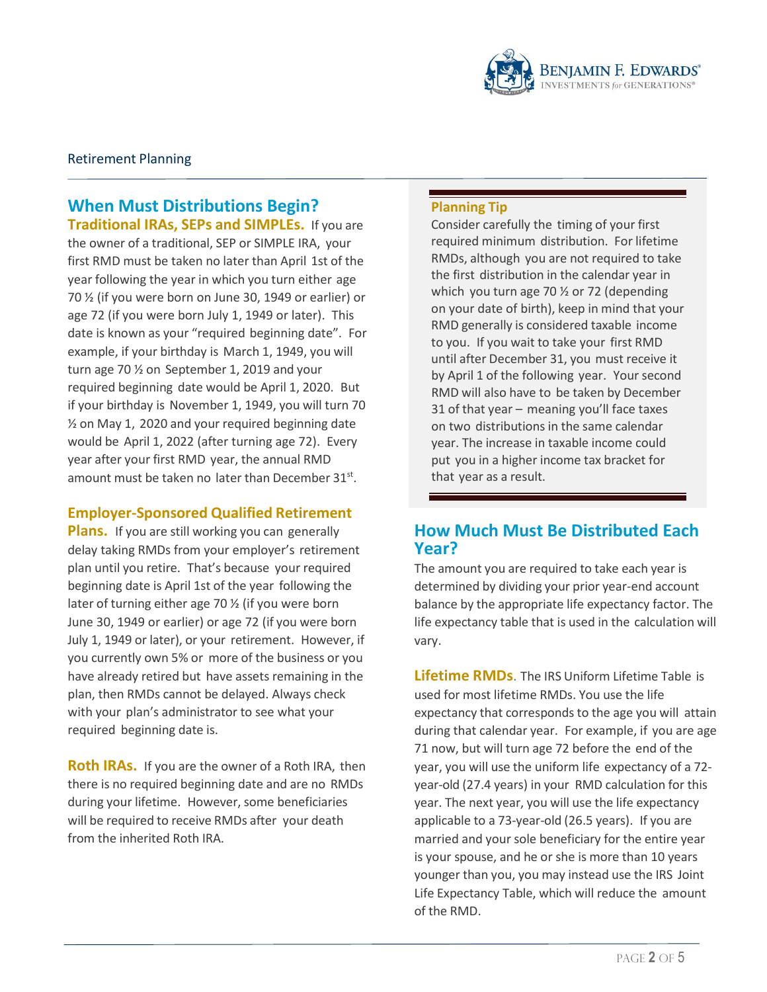

## **When Must Distributions Begin? Traditional IRAs, SEPs and SIMPLEs.** If you are

the owner of a traditional, SEP or SIMPLE IRA, your first RMD must be taken no later than April 1st of the year following the year in which you turn either age 70 ½ (if you were born on June 30, 1949 or earlier) or age 72 (if you were born July 1, 1949 or later). This date is known as your "required beginning date". For example, if your birthday is March 1, 1949, you will turn age 70 ½ on September 1, 2019 and your required beginning date would be April 1, 2020. But if your birthday is November 1, 1949, you will turn 70 ½ on May 1, 2020 and your required beginning date would be April 1, 2022 (after turning age 72). Every year after your first RMD year, the annual RMD amount must be taken no later than December 31<sup>st</sup>.

#### **Employer-Sponsored Qualified Retirement**

**Plans.** If you are still working you can generally delay taking RMDs from your employer's retirement plan until you retire. That's because your required beginning date is April 1st of the year following the later of turning either age 70 ½ (if you were born June 30, 1949 or earlier) or age 72 (if you were born July 1, 1949 or later), or your retirement. However, if you currently own 5% or more of the business or you have already retired but have assets remaining in the plan, then RMDs cannot be delayed. Always check with your plan's administrator to see what your required beginning date is.

**Roth IRAs.** If you are the owner of a Roth IRA, then there is no required beginning date and are no RMDs during your lifetime. However, some beneficiaries will be required to receive RMDs after your death from the inherited Roth IRA.

#### **Planning Tip**

Consider carefully the timing of your first required minimum distribution. For lifetime RMDs, although you are not required to take the first distribution in the calendar year in which you turn age 70 ½ or 72 (depending on your date of birth), keep in mind that your RMD generally is considered taxable income to you. If you wait to take your first RMD until after December 31, you must receive it by April 1 of the following year. Your second RMD will also have to be taken by December 31 of that year – meaning you'll face taxes on two distributions in the same calendar year. The increase in taxable income could put you in a higher income tax bracket for that year as a result.

# **How Much Must Be Distributed Each Year?**

The amount you are required to take each year is determined by dividing your prior year-end account balance by the appropriate life expectancy factor. The life expectancy table that is used in the calculation will vary.

**Lifetime RMDs**. The IRS Uniform Lifetime Table is used for most lifetime RMDs. You use the life expectancy that corresponds to the age you will attain during that calendar year. For example, if you are age 71 now, but will turn age 72 before the end of the year, you will use the uniform life expectancy of a 72 year-old (27.4 years) in your RMD calculation for this year. The next year, you will use the life expectancy applicable to a 73-year-old (26.5 years). If you are married and your sole beneficiary for the entire year is your spouse, and he or she is more than 10 years younger than you, you may instead use the IRS Joint Life Expectancy Table, which will reduce the amount of the RMD.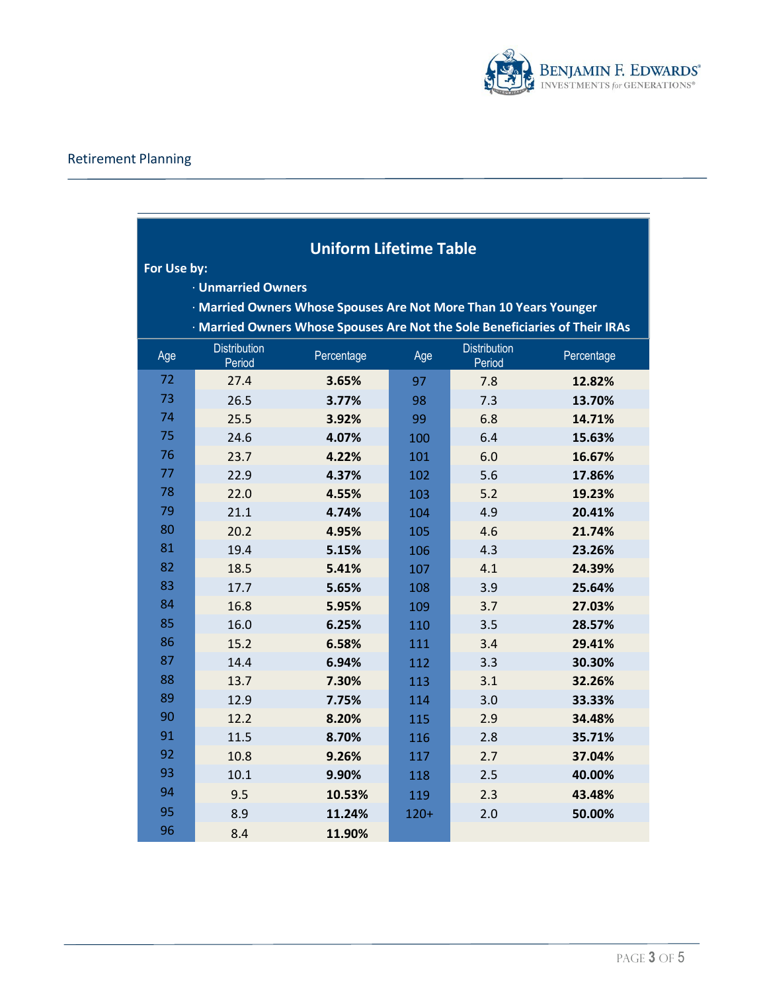

<u> The Common State State State State State Sta</u>

# Retirement Planning

|             | <b>Uniform Lifetime Table</b> |                                                                             |        |                               |            |  |
|-------------|-------------------------------|-----------------------------------------------------------------------------|--------|-------------------------------|------------|--|
| For Use by: |                               |                                                                             |        |                               |            |  |
|             | <b>· Unmarried Owners</b>     |                                                                             |        |                               |            |  |
|             |                               | · Married Owners Whose Spouses Are Not More Than 10 Years Younger           |        |                               |            |  |
|             |                               | · Married Owners Whose Spouses Are Not the Sole Beneficiaries of Their IRAs |        |                               |            |  |
| Age         | <b>Distribution</b><br>Period | Percentage                                                                  | Age    | <b>Distribution</b><br>Period | Percentage |  |
| 72          | 27.4                          | 3.65%                                                                       | 97     | 7.8                           | 12.82%     |  |
| 73          | 26.5                          | 3.77%                                                                       | 98     | 7.3                           | 13.70%     |  |
| 74          | 25.5                          | 3.92%                                                                       | 99     | 6.8                           | 14.71%     |  |
| 75          | 24.6                          | 4.07%                                                                       | 100    | 6.4                           | 15.63%     |  |
| 76          | 23.7                          | 4.22%                                                                       | 101    | 6.0                           | 16.67%     |  |
| 77          | 22.9                          | 4.37%                                                                       | 102    | 5.6                           | 17.86%     |  |
| 78          | 22.0                          | 4.55%                                                                       | 103    | 5.2                           | 19.23%     |  |
| 79          | 21.1                          | 4.74%                                                                       | 104    | 4.9                           | 20.41%     |  |
| 80          | 20.2                          | 4.95%                                                                       | 105    | 4.6                           | 21.74%     |  |
| 81          | 19.4                          | 5.15%                                                                       | 106    | 4.3                           | 23.26%     |  |
| 82          | 18.5                          | 5.41%                                                                       | 107    | 4.1                           | 24.39%     |  |
| 83          | 17.7                          | 5.65%                                                                       | 108    | 3.9                           | 25.64%     |  |
| 84          | 16.8                          | 5.95%                                                                       | 109    | 3.7                           | 27.03%     |  |
| 85          | 16.0                          | 6.25%                                                                       | 110    | 3.5                           | 28.57%     |  |
| 86          | 15.2                          | 6.58%                                                                       | 111    | 3.4                           | 29.41%     |  |
| 87          | 14.4                          | 6.94%                                                                       | 112    | 3.3                           | 30.30%     |  |
| 88          | 13.7                          | 7.30%                                                                       | 113    | 3.1                           | 32.26%     |  |
| 89          | 12.9                          | 7.75%                                                                       | 114    | 3.0                           | 33.33%     |  |
| 90          | 12.2                          | 8.20%                                                                       | 115    | 2.9                           | 34.48%     |  |
| 91          | 11.5                          | 8.70%                                                                       | 116    | 2.8                           | 35.71%     |  |
| 92          | 10.8                          | 9.26%                                                                       | 117    | 2.7                           | 37.04%     |  |
| 93          | 10.1                          | 9.90%                                                                       | 118    | 2.5                           | 40.00%     |  |
| 94          | 9.5                           | 10.53%                                                                      | 119    | 2.3                           | 43.48%     |  |
| 95          | 8.9                           | 11.24%                                                                      | $120+$ | 2.0                           | 50.00%     |  |
| 96          | 8.4                           | 11.90%                                                                      |        |                               |            |  |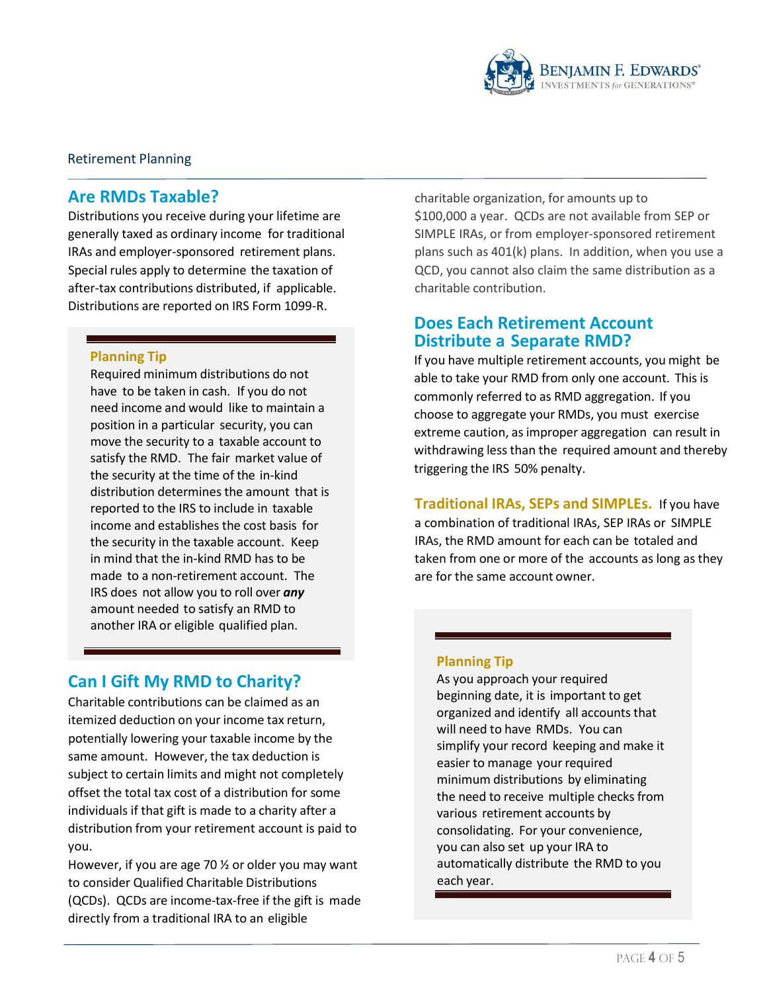

#### Retirement Planning

## **Are RMDs Taxable?**

Distributions you receive during your lifetime are generally taxed as ordinary income for traditional IRAs and employer-sponsored retirement plans. Special rules apply to determine the taxation of after-tax contributions distributed, if applicable. Distributions are reported on IRS Form 1099-R.

#### **Planning Tip**

Required minimum distributions do not have to be taken in cash. If you do not need income and would like to maintain a position in a particular security, you can move the security to a taxable account to satisfy the RMD. The fair market value of the security at the time of the in-kind distribution determines the amount that is reported to the IRS to include in taxable income and establishes the cost basis for the security in the taxable account. Keep in mind that the in-kind RMD has to be made to a non-retirement account. The IRS does not allow you to roll over *any* amount needed to satisfy an RMD to another IRA or eligible qualified plan.

# **Can I Gift My RMD to Charity?**

Charitable contributions can be claimed as an itemized deduction on your income tax return, potentially lowering your taxable income by the same amount. However, the tax deduction is subject to certain limits and might not completely offset the total tax cost of a distribution for some individuals if that gift is made to a charity after a distribution from your retirement account is paid to you.

However, if you are age 70 ½ or older you may want to consider Qualified Charitable Distributions (QCDs). QCDs are income-tax-free if the gift is made directly from a traditional IRA to an eligible

charitable organization, for amounts up to \$100,000 a year. QCDs are not available from SEP or SIMPLE IRAs, or from employer-sponsored retirement plans such as 401(k) plans. In addition, when you use a QCD, you cannot also claim the same distribution as a charitable contribution.

## **Does Each Retirement Account Distribute a Separate RMD?**

If you have multiple retirement accounts, you might be able to take your RMD from only one account. This is commonly referred to as RMD aggregation. If you choose to aggregate your RMDs, you must exercise extreme caution, as improper aggregation can result in withdrawing less than the required amount and thereby triggering the IRS 50% penalty.

**Traditional IRAs, SEPs and SIMPLEs.** If you have a combination of traditional IRAs, SEP IRAs or SIMPLE IRAs, the RMD amount for each can be totaled and taken from one or more of the accounts as long as they are for the same account owner.

#### **Planning Tip**

As you approach your required beginning date, it is important to get organized and identify all accounts that will need to have RMDs. You can simplify your record keeping and make it easier to manage your required minimum distributions by eliminating the need to receive multiple checks from various retirement accounts by consolidating. For your convenience, you can also set up your IRA to automatically distribute the RMD to you each year.